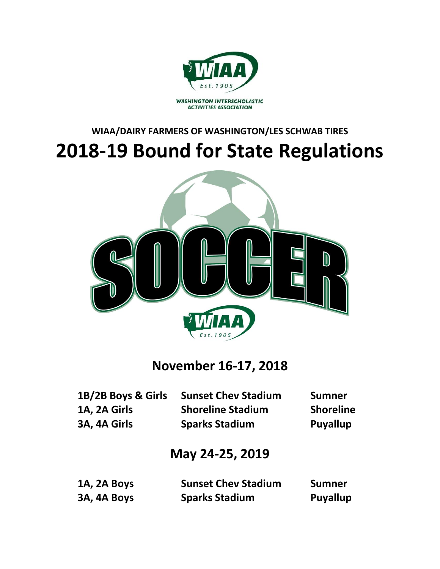

WASHINGTON INTERSCHOLASTIC<br>ACTIVITIES ASSOCIATION

# **WIAA/DAIRY FARMERS OF WASHINGTON/LES SCHWAB TIRES 2018-19 Bound for State Regulations**



# **November 16-17, 2018**

| 1B/2B Boys & Girls | <b>Sunset Chev Stadium</b> | <b>Sumner</b>    |
|--------------------|----------------------------|------------------|
| 1A, 2A Girls       | <b>Shoreline Stadium</b>   | <b>Shoreline</b> |
| 3A, 4A Girls       | <b>Sparks Stadium</b>      | <b>Puyallup</b>  |

# **May 24-25, 2019**

| 1A, 2A Boys | <b>Sunset Chev Stadium</b> | Sumner   |
|-------------|----------------------------|----------|
| 3A, 4A Boys | <b>Sparks Stadium</b>      | Puyallup |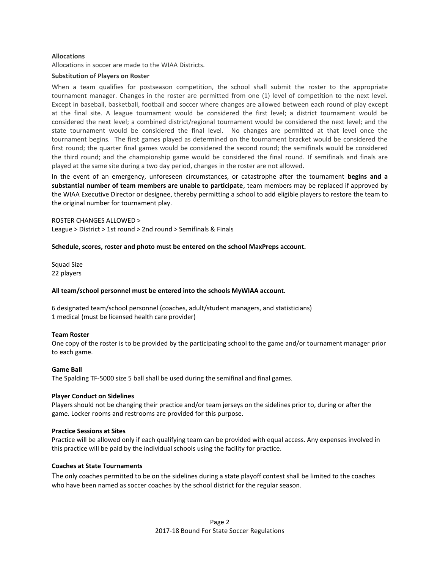# **Allocations**

Allocations in soccer are made to the WIAA Districts.

# **Substitution of Players on Roster**

When a team qualifies for postseason competition, the school shall submit the roster to the appropriate tournament manager. Changes in the roster are permitted from one (1) level of competition to the next level. Except in baseball, basketball, football and soccer where changes are allowed between each round of play except at the final site. A league tournament would be considered the first level; a district tournament would be considered the next level; a combined district/regional tournament would be considered the next level; and the state tournament would be considered the final level. No changes are permitted at that level once the tournament begins. The first games played as determined on the tournament bracket would be considered the first round; the quarter final games would be considered the second round; the semifinals would be considered the third round; and the championship game would be considered the final round. If semifinals and finals are played at the same site during a two day period, changes in the roster are not allowed.

In the event of an emergency, unforeseen circumstances, or catastrophe after the tournament **begins and a substantial number of team members are unable to participate**, team members may be replaced if approved by the WIAA Executive Director or designee, thereby permitting a school to add eligible players to restore the team to the original number for tournament play.

# ROSTER CHANGES ALLOWED >

League > District > 1st round > 2nd round > Semifinals & Finals

# **Schedule, scores, roster and photo must be entered on the school MaxPreps account.**

Squad Size 22 players

### **All team/school personnel must be entered into the schools MyWIAA account.**

6 designated team/school personnel (coaches, adult/student managers, and statisticians) 1 medical (must be licensed health care provider)

### **Team Roster**

One copy of the roster is to be provided by the participating school to the game and/or tournament manager prior to each game.

### **Game Ball**

The Spalding TF-5000 size 5 ball shall be used during the semifinal and final games.

### **Player Conduct on Sidelines**

Players should not be changing their practice and/or team jerseys on the sidelines prior to, during or after the game. Locker rooms and restrooms are provided for this purpose.

# **Practice Sessions at Sites**

Practice will be allowed only if each qualifying team can be provided with equal access. Any expenses involved in this practice will be paid by the individual schools using the facility for practice.

### **Coaches at State Tournaments**

The only coaches permitted to be on the sidelines during a state playoff contest shall be limited to the coaches who have been named as soccer coaches by the school district for the regular season.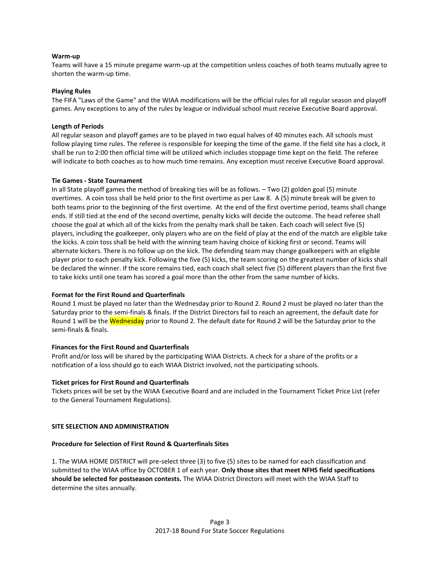# **Warm-up**

Teams will have a 15 minute pregame warm-up at the competition unless coaches of both teams mutually agree to shorten the warm-up time.

# **Playing Rules**

The FIFA "Laws of the Game" and the WIAA modifications will be the official rules for all regular season and playoff games. Any exceptions to any of the rules by league or individual school must receive Executive Board approval.

# **Length of Periods**

All regular season and playoff games are to be played in two equal halves of 40 minutes each. All schools must follow playing time rules. The referee is responsible for keeping the time of the game. If the field site has a clock, it shall be run to 2:00 then official time will be utilized which includes stoppage time kept on the field. The referee will indicate to both coaches as to how much time remains. Any exception must receive Executive Board approval.

### **Tie Games - State Tournament**

In all State playoff games the method of breaking ties will be as follows. – Two (2) golden goal (5) minute overtimes. A coin toss shall be held prior to the first overtime as per Law 8. A (5) minute break will be given to both teams prior to the beginning of the first overtime. At the end of the first overtime period, teams shall change ends. If still tied at the end of the second overtime, penalty kicks will decide the outcome. The head referee shall choose the goal at which all of the kicks from the penalty mark shall be taken. Each coach will select five (5) players, including the goalkeeper, only players who are on the field of play at the end of the match are eligible take the kicks. A coin toss shall be held with the winning team having choice of kicking first or second. Teams will alternate kickers. There is no follow up on the kick. The defending team may change goalkeepers with an eligible player prior to each penalty kick. Following the five (5) kicks, the team scoring on the greatest number of kicks shall be declared the winner. If the score remains tied, each coach shall select five (5) different players than the first five to take kicks until one team has scored a goal more than the other from the same number of kicks.

# **Format for the First Round and Quarterfinals**

Round 1 must be played no later than the Wednesday prior to Round 2. Round 2 must be played no later than the Saturday prior to the semi-finals & finals. If the District Directors fail to reach an agreement, the default date for Round 1 will be the Wednesday prior to Round 2. The default date for Round 2 will be the Saturday prior to the semi-finals & finals.

# **Finances for the First Round and Quarterfinals**

Profit and/or loss will be shared by the participating WIAA Districts. A check for a share of the profits or a notification of a loss should go to each WIAA District involved, not the participating schools.

### **Ticket prices for First Round and Quarterfinals**

Tickets prices will be set by the WIAA Executive Board and are included in the Tournament Ticket Price List (refer to the General Tournament Regulations).

# **SITE SELECTION AND ADMINISTRATION**

# **Procedure for Selection of First Round & Quarterfinals Sites**

1. The WIAA HOME DISTRICT will pre-select three (3) to five (5) sites to be named for each classification and submitted to the WIAA office by OCTOBER 1 of each year. **Only those sites that meet NFHS field specifications should be selected for postseason contests.** The WIAA District Directors will meet with the WIAA Staff to determine the sites annually.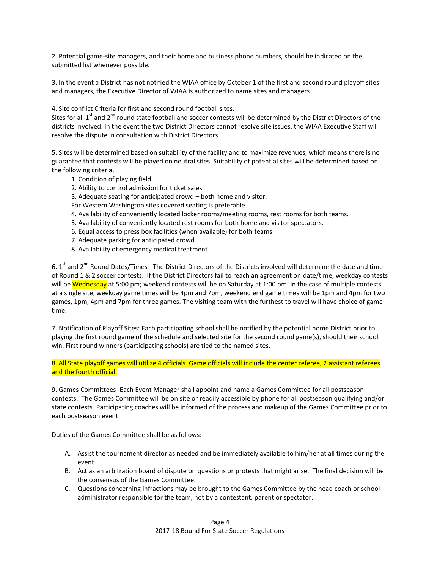2. Potential game-site managers, and their home and business phone numbers, should be indicated on the submitted list whenever possible.

3. In the event a District has not notified the WIAA office by October 1 of the first and second round playoff sites and managers, the Executive Director of WIAA is authorized to name sites and managers.

4. Site conflict Criteria for first and second round football sites.

Sites for all 1<sup>st</sup> and 2<sup>nd</sup> round state football and soccer contests will be determined by the District Directors of the districts involved. In the event the two District Directors cannot resolve site issues, the WIAA Executive Staff will resolve the dispute in consultation with District Directors.

5. Sites will be determined based on suitability of the facility and to maximize revenues, which means there is no guarantee that contests will be played on neutral sites. Suitability of potential sites will be determined based on the following criteria.

- 1. Condition of playing field.
- 2. Ability to control admission for ticket sales.
- 3. Adequate seating for anticipated crowd both home and visitor.
- For Western Washington sites covered seating is preferable
- 4. Availability of conveniently located locker rooms/meeting rooms, rest rooms for both teams.
- 5. Availability of conveniently located rest rooms for both home and visitor spectators.
- 6. Equal access to press box facilities (when available) for both teams.
- 7. Adequate parking for anticipated crowd.
- 8. Availability of emergency medical treatment.

6. 1<sup>st</sup> and 2<sup>nd</sup> Round Dates/Times - The District Directors of the Districts involved will determine the date and time of Round 1 & 2 soccer contests. If the District Directors fail to reach an agreement on date/time, weekday contests will be Wednesday at 5:00 pm; weekend contests will be on Saturday at 1:00 pm. In the case of multiple contests at a single site, weekday game times will be 4pm and 7pm, weekend end game times will be 1pm and 4pm for two games, 1pm, 4pm and 7pm for three games. The visiting team with the furthest to travel will have choice of game time.

7. Notification of Playoff Sites: Each participating school shall be notified by the potential home District prior to playing the first round game of the schedule and selected site for the second round game(s), should their school win. First round winners (participating schools) are tied to the named sites.

8. All State playoff games will utilize 4 officials. Game officials will include the center referee, 2 assistant referees and the fourth official.

9. Games Committees -Each Event Manager shall appoint and name a Games Committee for all postseason contests. The Games Committee will be on site or readily accessible by phone for all postseason qualifying and/or state contests. Participating coaches will be informed of the process and makeup of the Games Committee prior to each postseason event.

Duties of the Games Committee shall be as follows:

- A. Assist the tournament director as needed and be immediately available to him/her at all times during the event.
- B. Act as an arbitration board of dispute on questions or protests that might arise. The final decision will be the consensus of the Games Committee.
- C. Questions concerning infractions may be brought to the Games Committee by the head coach or school administrator responsible for the team, not by a contestant, parent or spectator.